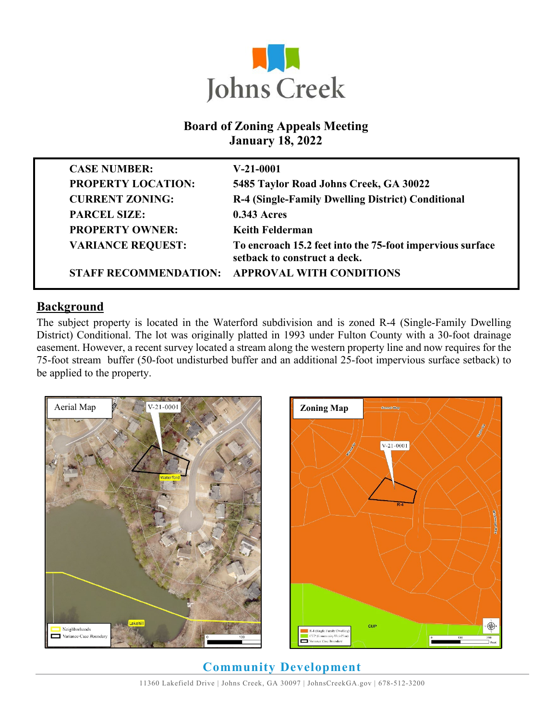

### **Board of Zoning Appeals Meeting January 18, 2022**

| <b>CASE NUMBER:</b>          | $V-21-0001$                                                                               |
|------------------------------|-------------------------------------------------------------------------------------------|
| <b>PROPERTY LOCATION:</b>    | 5485 Taylor Road Johns Creek, GA 30022                                                    |
| <b>CURRENT ZONING:</b>       | R-4 (Single-Family Dwelling District) Conditional                                         |
| <b>PARCEL SIZE:</b>          | <b>0.343 Acres</b>                                                                        |
| <b>PROPERTY OWNER:</b>       | <b>Keith Felderman</b>                                                                    |
| <b>VARIANCE REQUEST:</b>     | To encroach 15.2 feet into the 75-foot impervious surface<br>setback to construct a deck. |
| <b>STAFF RECOMMENDATION:</b> | <b>APPROVAL WITH CONDITIONS</b>                                                           |

#### **Background**

The subject property is located in the Waterford subdivision and is zoned R-4 (Single-Family Dwelling District) Conditional. The lot was originally platted in 1993 under Fulton County with a 30-foot drainage easement. However, a recent survey located a stream along the western property line and now requires for the 75-foot stream buffer (50-foot undisturbed buffer and an additional 25-foot impervious surface setback) to be applied to the property.





**Community Development**  11360 Lakefield Drive | Johns Creek, GA 30097 | JohnsCreekGA.gov | 678-512-3200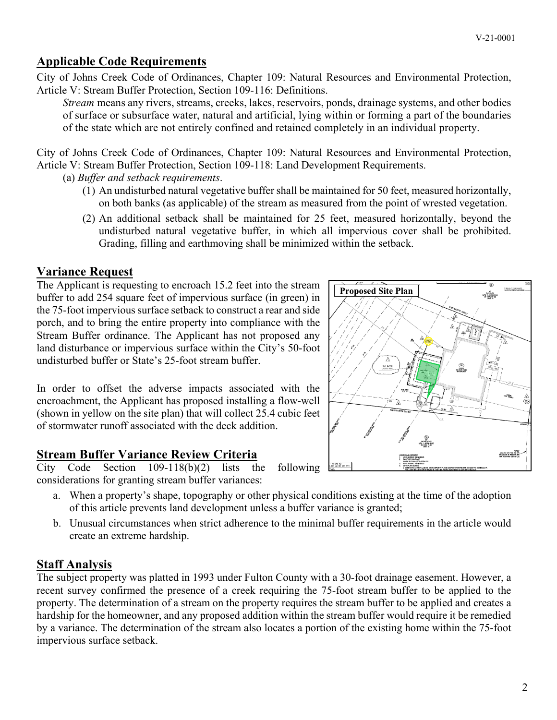# **Applicable Code Requirements**

City of Johns Creek Code of Ordinances, Chapter 109: Natural Resources and Environmental Protection, Article V: Stream Buffer Protection, Section 109-116: Definitions.

*Stream* means any rivers, streams, creeks, lakes, reservoirs, ponds, drainage systems, and other bodies of surface or subsurface water, natural and artificial, lying within or forming a part of the boundaries of the state which are not entirely confined and retained completely in an individual property.

City of Johns Creek Code of Ordinances, Chapter 109: Natural Resources and Environmental Protection, Article V: Stream Buffer Protection, Section 109-118: Land Development Requirements.

(a) *Buffer and setback requirements*.

- (1) An undisturbed natural vegetative buffer shall be maintained for 50 feet, measured horizontally, on both banks (as applicable) of the stream as measured from the point of wrested vegetation.
- (2) An additional setback shall be maintained for 25 feet, measured horizontally, beyond the undisturbed natural vegetative buffer, in which all impervious cover shall be prohibited. Grading, filling and earthmoving shall be minimized within the setback.

#### **Variance Request**

The Applicant is requesting to encroach 15.2 feet into the stream buffer to add 254 square feet of impervious surface (in green) in the 75-foot impervious surface setback to construct a rear and side porch, and to bring the entire property into compliance with the Stream Buffer ordinance. The Applicant has not proposed any land disturbance or impervious surface within the City's 50-foot undisturbed buffer or State's 25-foot stream buffer.

In order to offset the adverse impacts associated with the encroachment, the Applicant has proposed installing a flow-well (shown in yellow on the site plan) that will collect 25.4 cubic feet of stormwater runoff associated with the deck addition.

### **Stream Buffer Variance Review Criteria**

City Code Section 109-118(b)(2) lists the following considerations for granting stream buffer variances:

- a. When a property's shape, topography or other physical conditions existing at the time of the adoption of this article prevents land development unless a buffer variance is granted;
- b. Unusual circumstances when strict adherence to the minimal buffer requirements in the article would create an extreme hardship.

### **Staff Analysis**

The subject property was platted in 1993 under Fulton County with a 30-foot drainage easement. However, a recent survey confirmed the presence of a creek requiring the 75-foot stream buffer to be applied to the property. The determination of a stream on the property requires the stream buffer to be applied and creates a hardship for the homeowner, and any proposed addition within the stream buffer would require it be remedied by a variance. The determination of the stream also locates a portion of the existing home within the 75-foot impervious surface setback.